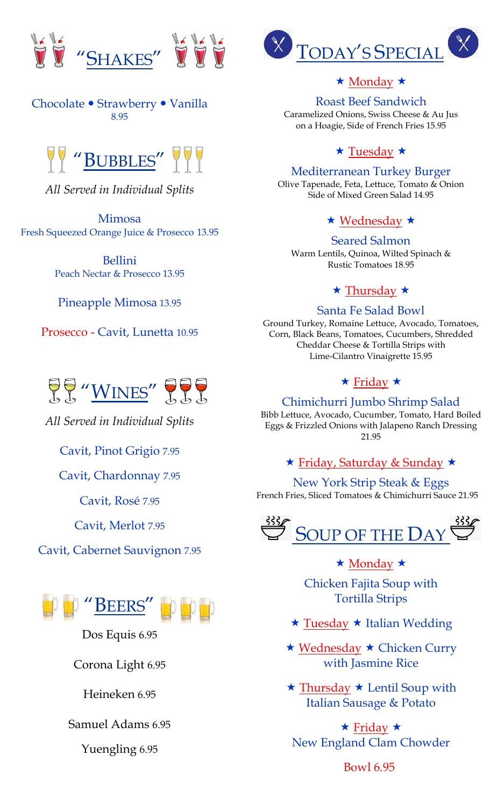



### Chocolate • Strawberry • Vanilla 8.95



*All Served in Individual Splits* 

Mimosa Fresh Squeezed Orange Juice & Prosecco 13.95

> Bellini Peach Nectar & Prosecco 13.95

Pineapple Mimosa 13.95

Prosecco - Cavit, Lunetta 10.95



*All Served in Individual Splits* 

Cavit, Pinot Grigio 7.95

Cavit, Chardonnay 7.95

Cavit, Rosé 7.95

Cavit, Merlot 7.95

Cavit, Cabernet Sauvignon 7.95



Dos Equis 6.95

Corona Light 6.95

Heineken 6.95

Samuel Adams 6.95

Yuengling 6.95



### ★ Monday ★

Roast Beef Sandwich

Caramelized Onions, Swiss Cheese & Au Jus on a Hoagie, Side of French Fries 15.95

### $\star$  Tuesday  $\star$

#### Mediterranean Turkey Burger

Olive Tapenade, Feta, Lettuce, Tomato & Onion Side of Mixed Green Salad 14.95

### $\star$  Wednesday  $\star$

Seared Salmon Warm Lentils, Quinoa, Wilted Spinach & Rustic Tomatoes 18.95

### $\star$  Thursday  $\star$

### Santa Fe Salad Bowl

Ground Turkey, Romaine Lettuce, Avocado, Tomatoes, Corn, Black Beans, Tomatoes, Cucumbers, Shredded Cheddar Cheese & Tortilla Strips with Lime-Cilantro Vinaigrette 15.95

### $\star$  Friday  $\star$

#### Chimichurri Jumbo Shrimp Salad

Bibb Lettuce, Avocado, Cucumber, Tomato, Hard Boiled Eggs & Frizzled Onions with Jalapeno Ranch Dressing 21.95

### **★ Friday, Saturday & Sunday ★**

New York Strip Steak & Eggs French Fries, Sliced Tomatoes & Chimichurri Sauce 21.95



### $\star$  Monday  $\star$

Chicken Fajita Soup with Tortilla Strips

- $\star$  Tuesday  $\star$  Italian Wedding
- ★ Wednesday ★ Chicken Curry with Jasmine Rice
- $\star$  Thursday  $\star$  Lentil Soup with Italian Sausage & Potato

 $\star$  Friday  $\star$ New England Clam Chowder

Bowl 6.95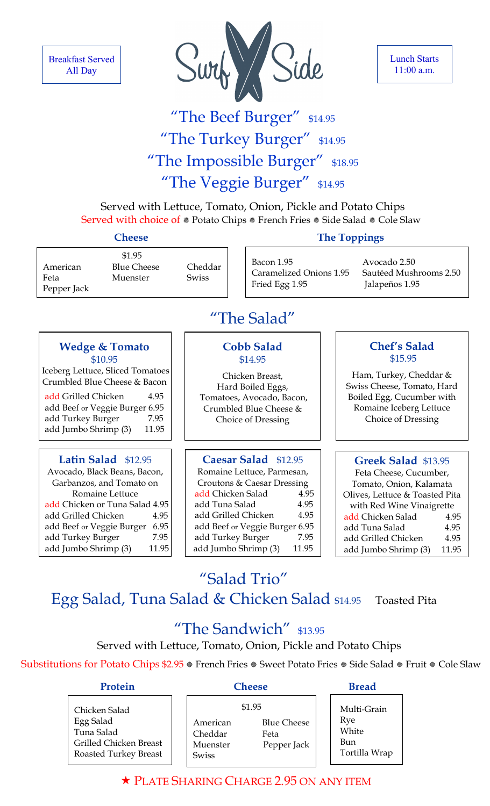Breakfast Served All Day



Lunch Starts 11:00 a.m.

# "The Beef Burger" \$14.95 "The Turkey Burger" \$14.95 "The Impossible Burger" \$18.95 "The Veggie Burger" \$14.95

Served with Lettuce, Tomato, Onion, Pickle and Potato Chips Served with choice of \* Potato Chips \* French Fries \* Side Salad \* Cole Slaw

**Wedge & Tomato**  \$10.95 Iceberg Lettuce, Sliced Tomatoes Crumbled Blue Cheese & Bacon add Grilled Chicken 4.95 add Beef or Veggie Burger 6.95 add Turkey Burger 7.95 add Jumbo Shrimp (3) 11.95

**Latin Salad** \$12.95 Avocado, Black Beans, Bacon, Garbanzos, and Tomato on Romaine Lettuce add Chicken or Tuna Salad 4.95 add Grilled Chicken 4.95 add Beef or Veggie Burger 6.95 add Turkey Burger 7.95 add Jumbo Shrimp (3) 11.95

American Blue Cheese Cheddar Feta Muenster Swiss Pepper Jack

\$1.95

#### **Cheese** The Toppings

Bacon 1.95 Avocado 2.50 Caramelized Onions 1.95 Sautéed Mushrooms 2.50 Fried Egg 1.95 Jalapeños 1.95

 $\overline{a}$ 

# "The Salad"

#### **Cobb Salad**  \$14.95

Chicken Breast, Hard Boiled Eggs, Tomatoes, Avocado, Bacon, Crumbled Blue Cheese & Choice of Dressing

**Caesar Salad** \$12.95 Romaine Lettuce, Parmesan, Croutons & Caesar Dressing add Chicken Salad 4.95 add Tuna Salad 1.95 add Grilled Chicken 4.95 add Beef or Veggie Burger 6.95 add Turkey Burger 7.95 add Jumbo Shrimp (3) 11.95

#### **Chef's Salad**  \$15.95

Ham, Turkey, Cheddar & Swiss Cheese, Tomato, Hard Boiled Egg, Cucumber with Romaine Iceberg Lettuce Choice of Dressing

#### **Greek Salad** \$13.95

Feta Cheese, Cucumber, Tomato, Onion, Kalamata Olives, Lettuce & Toasted Pita with Red Wine Vinaigrette add Chicken Salad 4.95 add Tuna Salad 1.95 add Grilled Chicken 4.95 add Jumbo Shrimp (3) 11.95

# "Salad Trio" Egg Salad, Tuna Salad & Chicken Salad \$14.95 Toasted Pita

# "The Sandwich" \$13.95

#### Served with Lettuce, Tomato, Onion, Pickle and Potato Chips

Substitutions for Potato Chips \$2.95  $*$  French Fries  $*$  Sweet Potato Fries  $*$  Side Salad  $*$  Fruit  $*$  Cole Slaw

American Blue Cheese

Muenster Pepper Jack

#### **Protein Cheese Bread**

Chicken Salad Egg Salad Tuna Salad Grilled Chicken Breast Roasted Turkey Breast \$1.95

Cheddar Feta

Swiss

Multi-Grain Rye White Bun Tortilla Wrap

# PLATE SHARING CHARGE 2.95 ON ANY ITEM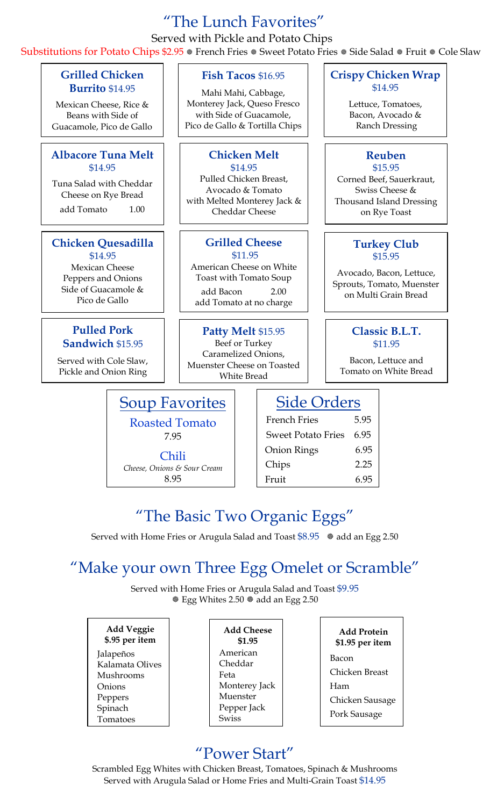# "The Lunch Favorites"

Served with Pickle and Potato Chips

Substitutions for Potato Chips \$2.95 \* French Fries \* Sweet Potato Fries \* Side Salad \* Fruit \* Cole Slaw

#### **Grilled Chicken Burrito** \$14.95

Mexican Cheese, Rice & Beans with Side of Guacamole, Pico de Gallo

#### **Albacore Tuna Melt**  \$14.95

Tuna Salad with Cheddar Cheese on Rye Bread add Tomato 1.00

#### **Chicken Quesadilla**  \$14.95

Mexican Cheese Peppers and Onions Side of Guacamole & Pico de Gallo

#### **Pulled Pork Sandwich** \$15.95

Served with Cole Slaw, Pickle and Onion Ring

### **Fish Tacos** \$16.95

Mahi Mahi, Cabbage, Monterey Jack, Queso Fresco with Side of Guacamole, Pico de Gallo & Tortilla Chips

#### **Chicken Melt**  \$14.95

Pulled Chicken Breast, Avocado & Tomato with Melted Monterey Jack & Cheddar Cheese

#### **Grilled Cheese**  \$11.95

American Cheese on White Toast with Tomato Soup add Bacon 2.00 add Tomato at no charge

#### **Patty Melt** \$15.95 Beef or Turkey

Caramelized Onions, Muenster Cheese on Toasted White Bread

# Soup Favorites

Roasted Tomato 7.95

Chili *Cheese, Onions & Sour Cream* 8.95

#### **Crispy Chicken Wrap**  \$14.95

Lettuce, Tomatoes, Bacon, Avocado & Ranch Dressing

### **Reuben**

\$15.95 Corned Beef, Sauerkraut, Swiss Cheese & Thousand Island Dressing on Rye Toast

#### **Turkey Club**  \$15.95

Avocado, Bacon, Lettuce, Sprouts, Tomato, Muenster on Multi Grain Bread

#### **Classic B.L.T.**  \$11.95

Bacon, Lettuce and Tomato on White Bread

## Side Orders

| <b>French Fries</b>       | 595  |
|---------------------------|------|
| <b>Sweet Potato Fries</b> | 6.95 |
| <b>Onion Rings</b>        | 6.95 |
| Chips                     | 2.25 |
| Fruit                     | 6 95 |

# "The Basic Two Organic Eggs"

Served with Home Fries or Arugula Salad and Toast \$8.95  $*$  add an Egg 2.50

# "Make your own Three Egg Omelet or Scramble"

Served with Home Fries or Arugula Salad and Toast \$9.95  $Egg$  Whites 2.50  $*$  add an Egg 2.50

#### **Add Veggie**

**\$.95 per item**  Jalapeños Kalamata Olives Mushrooms Onions Peppers Spinach Tomatoes

#### **Add Cheese**

- **\$1.95**  American Cheddar Feta Monterey Jack Muenster Pepper Jack Swiss
- **Add Protein \$1.95 per item**  Bacon Chicken Breast Ham Chicken Sausage Pork Sausage

# "Power Start"

Scrambled Egg Whites with Chicken Breast, Tomatoes, Spinach & Mushrooms Served with Arugula Salad or Home Fries and Multi-Grain Toast \$14.95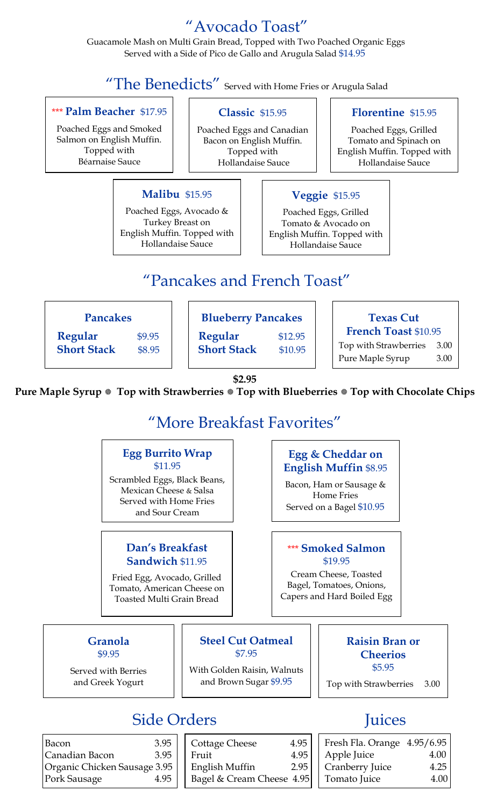# "Avocado Toast"

 Guacamole Mash on Multi Grain Bread, Topped with Two Poached Organic Eggs Served with a Side of Pico de Gallo and Arugula Salad \$14.95

# "The Benedicts" Served with Home Fries or Arugula Salad

#### \*\*\* **Palm Beacher** \$17.95

Poached Eggs and Smoked Salmon on English Muffin. Topped with Béarnaise Sauce

### **Classic** \$15.95

Poached Eggs and Canadian Bacon on English Muffin. Topped with Hollandaise Sauce

### **Florentine** \$15.95

Poached Eggs, Grilled Tomato and Spinach on English Muffin. Topped with Hollandaise Sauce

### **Malibu** \$15.95

Poached Eggs, Avocado & Turkey Breast on English Muffin. Topped with Hollandaise Sauce

### **Veggie** \$15.95

Poached Eggs, Grilled Tomato & Avocado on English Muffin. Topped with Hollandaise Sauce

# "Pancakes and French Toast"

**Pancakes Regular** \$9.95 **Short Stack \$8.95** 

**Blueberry Pancakes Regular** \$12.95 **Short Stack \$10.95** 

# **Texas Cut**

**French Toast** \$10.95 Top with Strawberries 3.00 Pure Maple Syrup 3.00

**\$2.95** 

**Pure Maple Syrup Top with Strawberries Top with Blueberries Top with Chocolate Chips** 

# "More Breakfast Favorites"

#### **Egg Burrito Wrap**  \$11.95

Scrambled Eggs, Black Beans, Mexican Cheese & Salsa Served with Home Fries and Sour Cream

#### **Dan's Breakfast Sandwich** \$11.95

Fried Egg, Avocado, Grilled Tomato, American Cheese on Toasted Multi Grain Bread

#### **Egg & Cheddar on English Muffin** \$8.95

Bacon, Ham or Sausage & Home Fries Served on a Bagel \$10.95

#### \*\*\* **Smoked Salmon**  \$19.95

Cream Cheese, Toasted Bagel, Tomatoes, Onions, Capers and Hard Boiled Egg

**Granola**  \$9.95

Served with Berries and Greek Yogurt

**Steel Cut Oatmeal**  \$7.95

With Golden Raisin, Walnuts and Brown Sugar \$9.95

# Side Orders **Iuices**

| Bacon                        | 3.95 |  |
|------------------------------|------|--|
| Canadian Bacon               | 3.95 |  |
| Organic Chicken Sausage 3.95 |      |  |
| Pork Sausage                 | 4.95 |  |

#### Cottage Cheese 4.95 Fruit 4.95 English Muffin 2.95 Bagel & Cream Cheese 4.95

### **Cheerios**  \$5.95

**Raisin Bran or** 

Top with Strawberries 3.00

| Fresh Fla. Orange 4.95/6.95 |      |
|-----------------------------|------|
| Apple Juice                 | 4.00 |
| Cranberry Juice             | 4.25 |
| Tomato Juice                | 4.00 |